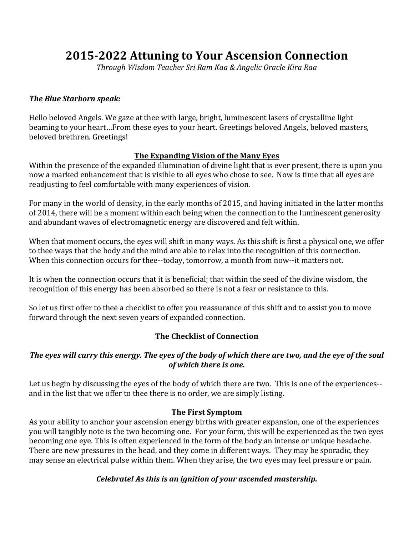# **2015-2022 Attuning to Your Ascension Connection**

Through Wisdom Teacher Sri Ram Kaa & Angelic Oracle Kira Raa

#### **The Blue Starborn speak:**

Hello beloved Angels. We gaze at thee with large, bright, luminescent lasers of crystalline light beaming to your heart...From these eyes to your heart. Greetings beloved Angels, beloved masters, beloved brethren. Greetings!

### **The Expanding Vision of the Many Eyes**

Within the presence of the expanded illumination of divine light that is ever present, there is upon you now a marked enhancement that is visible to all eyes who chose to see. Now is time that all eyes are readjusting to feel comfortable with many experiences of vision.

For many in the world of density, in the early months of 2015, and having initiated in the latter months of 2014, there will be a moment within each being when the connection to the luminescent generosity and abundant waves of electromagnetic energy are discovered and felt within.

When that moment occurs, the eyes will shift in many ways. As this shift is first a physical one, we offer to thee ways that the body and the mind are able to relax into the recognition of this connection. When this connection occurs for thee--today, tomorrow, a month from now--it matters not.

It is when the connection occurs that it is beneficial; that within the seed of the divine wisdom, the recognition of this energy has been absorbed so there is not a fear or resistance to this.

So let us first offer to thee a checklist to offer you reassurance of this shift and to assist you to move forward through the next seven years of expanded connection.

# **The Checklist of Connection**

### The eyes will carry this energy. The eyes of the body of which there are two, and the eye of the soul of which there is one.

Let us begin by discussing the eyes of the body of which there are two. This is one of the experiences--and in the list that we offer to thee there is no order, we are simply listing.

#### **The First Symptom**

As your ability to anchor your ascension energy births with greater expansion, one of the experiences you will tangibly note is the two becoming one. For your form, this will be experienced as the two eyes becoming one eye. This is often experienced in the form of the body an intense or unique headache. There are new pressures in the head, and they come in different ways. They may be sporadic, they may sense an electrical pulse within them. When they arise, the two eyes may feel pressure or pain.

#### Celebrate! As this is an ignition of your ascended mastership.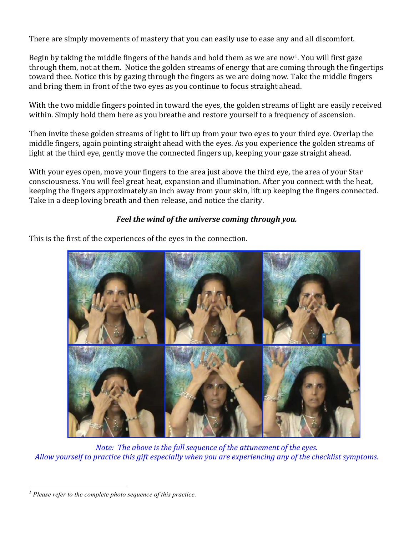There are simply movements of mastery that you can easily use to ease any and all discomfort.

Begin by taking the middle fingers of the hands and hold them as we are now<sup>1</sup>. You will first gaze through them, not at them. Notice the golden streams of energy that are coming through the fingertips toward thee. Notice this by gazing through the fingers as we are doing now. Take the middle fingers and bring them in front of the two eyes as you continue to focus straight ahead.

With the two middle fingers pointed in toward the eyes, the golden streams of light are easily received within. Simply hold them here as you breathe and restore yourself to a frequency of ascension.

Then invite these golden streams of light to lift up from your two eyes to your third eye. Overlap the middle fingers, again pointing straight ahead with the eyes. As you experience the golden streams of light at the third eve, gently move the connected fingers up, keeping your gaze straight ahead.

With your eyes open, move your fingers to the area just above the third eye, the area of your Star consciousness. You will feel great heat, expansion and illumination. After you connect with the heat, keeping the fingers approximately an inch away from your skin, lift up keeping the fingers connected. Take in a deep loving breath and then release, and notice the clarity.

# Feel the wind of the universe coming through you.

This is the first of the experiences of the eyes in the connection.



*Note: The above is the full sequence of the attunement of the eyes.* Allow yourself to practice this gift especially when you are experiencing any of the checklist symptoms.

 $\overline{a}$ 

*<sup>1</sup> Please refer to the complete photo sequence of this practice.*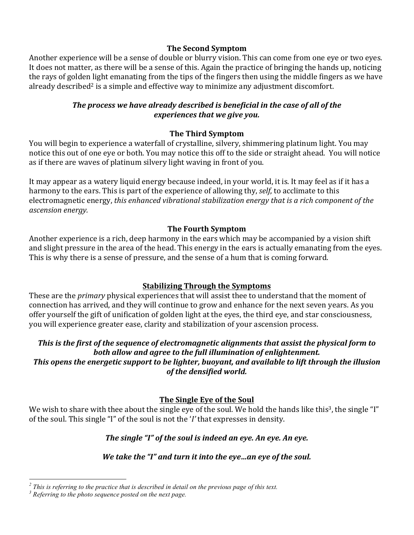### **The Second Symptom**

Another experience will be a sense of double or blurry vision. This can come from one eye or two eyes. It does not matter, as there will be a sense of this. Again the practice of bringing the hands up, noticing the rays of golden light emanating from the tips of the fingers then using the middle fingers as we have already described<sup>2</sup> is a simple and effective way to minimize any adjustment discomfort.

### The process we have already described is beneficial in the case of all of the experiences that we give you.

# **The Third Symptom**

You will begin to experience a waterfall of crystalline, silvery, shimmering platinum light. You may notice this out of one eye or both. You may notice this off to the side or straight ahead. You will notice as if there are waves of platinum silvery light waving in front of you.

It may appear as a watery liquid energy because indeed, in your world, it is. It may feel as if it has a harmony to the ears. This is part of the experience of allowing thy, *self*, to acclimate to this electromagnetic energy, this enhanced vibrational stabilization energy that is a rich component of the *ascension 
energy.*

### **The Fourth Symptom**

Another experience is a rich, deep harmony in the ears which may be accompanied by a vision shift and slight pressure in the area of the head. This energy in the ears is actually emanating from the eyes. This is why there is a sense of pressure, and the sense of a hum that is coming forward.

# **Stabilizing Through the Symptoms**

These are the *primary* physical experiences that will assist thee to understand that the moment of connection has arrived, and they will continue to grow and enhance for the next seven years. As you offer yourself the gift of unification of golden light at the eyes, the third eye, and star consciousness, you will experience greater ease, clarity and stabilization of your ascension process.

### This is the first of the sequence of electromagnetic alignments that assist the physical form to both allow and agree to the full illumination of enlightenment. This opens the energetic support to be lighter, buoyant, and available to lift through the illusion of the densified world.

# **The Single Eye of the Soul**

We wish to share with thee about the single eye of the soul. We hold the hands like this<sup>3</sup>, the single "I" of the soul. This single "I" of the soul is not the '*I*' that expresses in density.

# The single "I" of the soul is indeed an eye. An eye. An eye.

# We take the "I" and turn it into the eye...an eye of the soul.

 $\overline{a}$ 

*<sup>2</sup> This is referring to the practice that is described in detail on the previous page of this text.* 

*<sup>3</sup> Referring to the photo sequence posted on the next page.*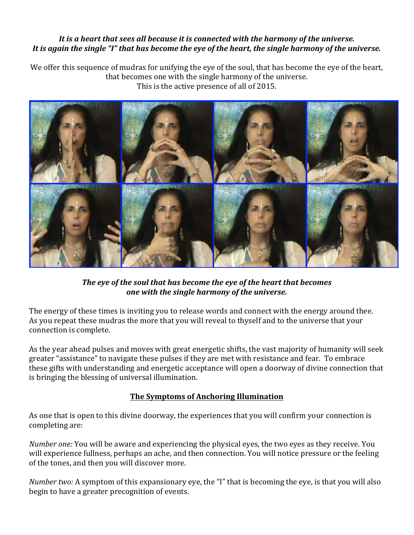### It is a heart that sees all because it is connected with the harmony of the universe. It is again the single "I" that has become the eye of the heart, the single harmony of the universe.

We offer this sequence of mudras for unifying the eye of the soul, that has become the eye of the heart, that becomes one with the single harmony of the universe. This is the active presence of all of 2015.



The eye of the soul that has become the eye of the heart that becomes one with the single harmony of the universe.

The energy of these times is inviting you to release words and connect with the energy around thee. As you repeat these mudras the more that you will reveal to thyself and to the universe that vour connection is complete.

As the year ahead pulses and moves with great energetic shifts, the vast majority of humanity will seek greater "assistance" to navigate these pulses if they are met with resistance and fear. To embrace these gifts with understanding and energetic acceptance will open a doorway of divine connection that is bringing the blessing of universal illumination.

# **The Symptoms of Anchoring Illumination**

As one that is open to this divine doorway, the experiences that you will confirm your connection is completing are:

*Number one:* You will be aware and experiencing the physical eyes, the two eyes as they receive. You will experience fullness, perhaps an ache, and then connection. You will notice pressure or the feeling of the tones, and then you will discover more.

*Number two:* A symptom of this expansionary eye, the "I" that is becoming the eye, is that you will also begin to have a greater precognition of events.